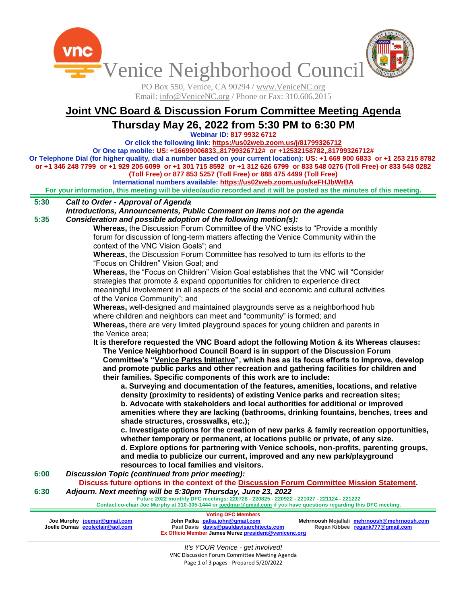Venice Neighborhood Council

PO Box 550, Venice, CA 90294 / www.VeniceNC.org Email: info@VeniceNC.org / Phone or Fax: 310.606.2015

# **Joint VNC Board & Discussion Forum Committee Meeting Agenda**

**Thursday May 26, 2022 from 5:30 PM to 6:30 PM**

**Webinar ID: 817 9932 6712**

**Or click the following link[: https://us02web.zoom.us/j/81799326712](https://us02web.zoom.us/j/81799326712) Or One tap mobile: US: +16699006833,,81799326712# or +12532158782,,81799326712#**

**Or Telephone Dial (for higher quality, dial a number based on your current location): US: +1 669 900 6833 or +1 253 215 8782 or +1 346 248 7799 or +1 929 205 6099 or +1 301 715 8592 or +1 312 626 6799 or 833 548 0276 (Toll Free) or 833 548 0282** 

**(Toll Free) or 877 853 5257 (Toll Free) or 888 475 4499 (Toll Free)**

**International numbers available:<https://us02web.zoom.us/u/keFHJbWrBA>**

**For your information, this meeting will be video/audio recorded and it will be posted as the minutes of this meeting.**

#### **5:30** *Call to Order - Approval of Agenda*

**5:35** *Introductions, Announcements, Public Comment on items not on the agenda Consideration and possible adoption of the following motion(s):*

**Whereas,** the Discussion Forum Committee of the VNC exists to "Provide a monthly forum for discussion of long-term matters affecting the Venice Community within the context of the VNC Vision Goals"; and

**Whereas,** the Discussion Forum Committee has resolved to turn its efforts to the "Focus on Children" Vision Goal; and

**Whereas,** the "Focus on Children" Vision Goal establishes that the VNC will "Consider strategies that promote & expand opportunities for children to experience direct meaningful involvement in all aspects of the social and economic and cultural activities of the Venice Community"; and

**Whereas,** well-designed and maintained playgrounds serve as a neighborhood hub where children and neighbors can meet and "community" is formed; and

**Whereas,** there are very limited playground spaces for young children and parents in the Venice area;

**It is therefore requested the VNC Board adopt the following Motion & its Whereas clauses: The Venice Neighborhood Council Board is in support of the Discussion Forum**

**Committee's "Venice Parks Initiative", which has as its focus efforts to improve, develop and promote public parks and other recreation and gathering facilities for children and their families. Specific components of this work are to include:**

**a. Surveying and documentation of the features, amenities, locations, and relative density (proximity to residents) of existing Venice parks and recreation sites; b. Advocate with stakeholders and local authorities for additional or improved amenities where they are lacking (bathrooms, drinking fountains, benches, trees and shade structures, crosswalks, etc.);**

**c. Investigate options for the creation of new parks & family recreation opportunities, whether temporary or permanent, at locations public or private, of any size. d. Explore options for partnering with Venice schools, non-profits, parenting groups, and media to publicize our current, improved and any new park/playground resources to local families and visitors.**

**6:00** *Discussion Topic (continued from prior meeting):*

**6:30 Discuss future options in the context of the Discussion Forum Committee Mission Statement.** *Adjourn. Next meeting will be 5:30pm Thursday, June 23, 2022*

**Future 2022 monthly DFC meetings: 220728 - 220825 - 220922 - 221027 - 221124 - 221222**

**Contact co-chair Joe Murphy at 310-305-1444 o[r joedmur@gmail.com](mailto:joedmur@gmail.com) if you have questions regarding this DFC meeting.**

| Joe Murphy joemur@gmail.com<br>Joelle Dumas ecoleclair@aol.com | John Palka palka.john@gmail.com | <b>Voting DFC Members</b><br>Paul Davis davis@pauldavisarchitects.com<br>Ex Officio Member James Murez president@venicenc.org | Mehrnoosh Mojallali mehrnoosh@mehrnoosh.com<br>Regan Kibbee regank777@gmail.com |
|----------------------------------------------------------------|---------------------------------|-------------------------------------------------------------------------------------------------------------------------------|---------------------------------------------------------------------------------|
|                                                                |                                 |                                                                                                                               |                                                                                 |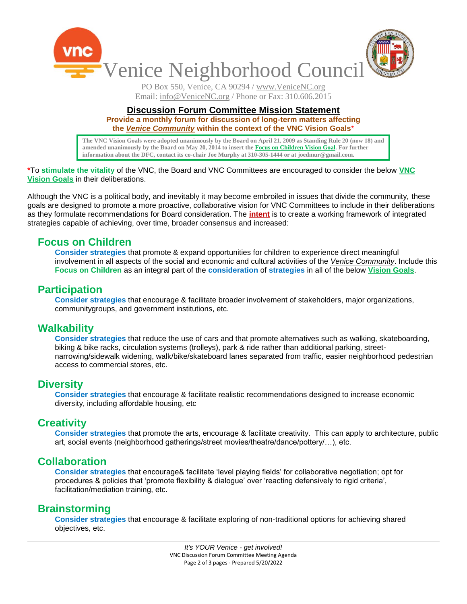

PO Box 550, Venice, CA 90294 / www.VeniceNC.org Email: info@VeniceNC.org / Phone or Fax: 310.606.2015

#### **Discussion Forum Committee Mission Statement**

**Provide a monthly forum for discussion of long-term matters affecting the** *Venice Community* **within the context of the VNC Vision Goals**\*

**The VNC Vision Goals were adopted unanimously by the Board on April 21, 2009 as Standing Rule 20 (now 18) and amended unanimously by the Board on May 20, 2014 to insert the Focus on Children Vision Goal. For further information about the DFC, contact its co-chair Joe Murphy at 310-305-1444 or at joedmur@gmail.com.**

#### **\***To **stimulate the vitality** of the VNC, the Board and VNC Committees are encouraged to consider the below **VNC Vision Goals** in their deliberations.

Although the VNC is a political body, and inevitably it may become embroiled in issues that divide the community, these goals are designed to promote a more proactive, collaborative vision for VNC Committees to include in their deliberations as they formulate recommendations for Board consideration. The **intent** is to create a working framework of integrated strategies capable of achieving, over time, broader consensus and increased:

## **Focus on Children**

**Consider strategies** that promote & expand opportunities for children to experience direct meaningful involvement in all aspects of the social and economic and cultural activities of the *Venice Community*. Include this **Focus on Children** as an integral part of the **consideration** of **strategies** in all of the below **Vision Goals**.

#### **Participation**

**Consider strategies** that encourage & facilitate broader involvement of stakeholders, major organizations, communitygroups, and government institutions, etc.

### **Walkability**

**Consider strategies** that reduce the use of cars and that promote alternatives such as walking, skateboarding, biking & bike racks, circulation systems (trolleys), park & ride rather than additional parking, streetnarrowing/sidewalk widening, walk/bike/skateboard lanes separated from traffic, easier neighborhood pedestrian access to commercial stores, etc.

### **Diversity**

**Consider strategies** that encourage & facilitate realistic recommendations designed to increase economic diversity, including affordable housing, etc

### **Creativity**

**Consider strategies** that promote the arts, encourage & facilitate creativity. This can apply to architecture, public art, social events (neighborhood gatherings/street movies/theatre/dance/pottery/…), etc.

### **Collaboration**

**Consider strategies** that encourage& facilitate "level playing fields" for collaborative negotiation; opt for procedures & policies that 'promote flexibility & dialogue' over 'reacting defensively to rigid criteria', facilitation/mediation training, etc.

### **Brainstorming**

**Consider strategies** that encourage & facilitate exploring of non-traditional options for achieving shared objectives, etc.